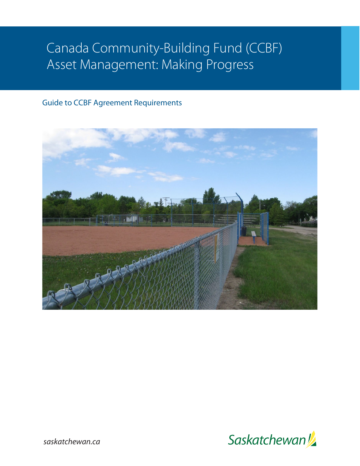# Canada Community-Building Fund (CCBF) Asset Management: Making Progress

# Guide to CCBF Agreement Requirements





*saskatchewan.ca*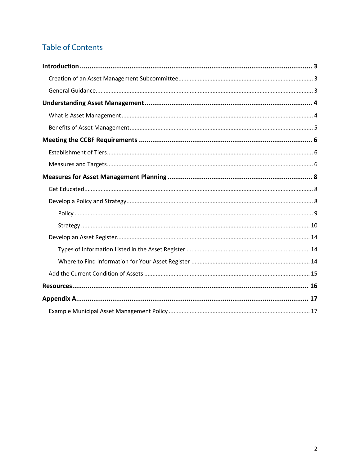# **Table of Contents**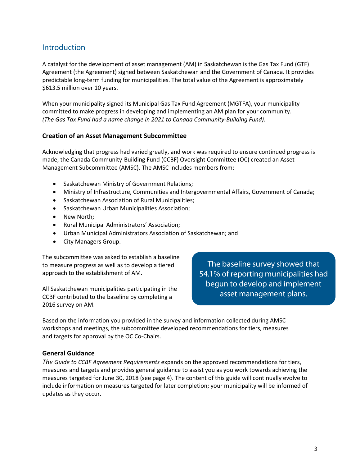## **Introduction**

A catalyst for the development of asset management (AM) in Saskatchewan is the Gas Tax Fund (GTF) Agreement (the Agreement) signed between Saskatchewan and the Government of Canada. It provides predictable long-term funding for municipalities. The total value of the Agreement is approximately \$613.5 million over 10 years.

When your municipality signed its Municipal Gas Tax Fund Agreement (MGTFA), your municipality committed to make progress in developing and implementing an AM plan for your community. *(The Gas Tax Fund had a name change in 2021 to Canada Community-Building Fund).*

#### **Creation of an Asset Management Subcommittee**

Acknowledging that progress had varied greatly, and work was required to ensure continued progress is made, the Canada Community-Building Fund (CCBF) Oversight Committee (OC) created an Asset Management Subcommittee (AMSC). The AMSC includes members from:

- Saskatchewan Ministry of Government Relations;
- Ministry of Infrastructure, Communities and Intergovernmental Affairs, Government of Canada;
- Saskatchewan Association of Rural Municipalities;
- Saskatchewan Urban Municipalities Association;
- New North;
- Rural Municipal Administrators' Association;
- Urban Municipal Administrators Association of Saskatchewan; and
- City Managers Group.

The subcommittee was asked to establish a baseline to measure progress as well as to develop a tiered approach to the establishment of AM.

All Saskatchewan municipalities participating in the CCBF contributed to the baseline by completing a 2016 survey on AM.

The baseline survey showed that 54.1% of reporting municipalities had begun to develop and implement asset management plans.

Based on the information you provided in the survey and information collected during AMSC workshops and meetings, the subcommittee developed recommendations for tiers, measures and targets for approval by the OC Co-Chairs.

#### **General Guidance**

*The Guide to CCBF Agreement Requirements* expands on the approved recommendations for tiers, measures and targets and provides general guidance to assist you as you work towards achieving the measures targeted for June 30, 2018 (see page 4). The content of this guide will continually evolve to include information on measures targeted for later completion; your municipality will be informed of updates as they occur.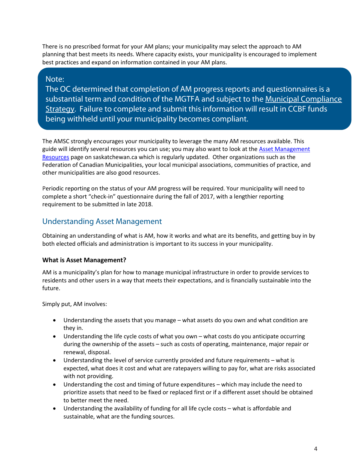There is no prescribed format for your AM plans; your municipality may select the approach to AM planning that best meets its needs. Where capacity exists, your municipality is encouraged to implement best practices and expand on information contained in your AM plans.

#### Note:

The OC determined that completion of AM progress reports and questionnaires is a substantial term and condition of the MGTFA and subject to the [Municipal Compliance](http://www.saskatchewan.ca/government/municipal-administration/funding-finances-and-asset-management/funding/federal-gas-tax-program/municipal-compliance)  [Strategy.](http://www.saskatchewan.ca/government/municipal-administration/funding-finances-and-asset-management/funding/federal-gas-tax-program/municipal-compliance) Failure to complete and submit this information will result in CCBF funds being withheld until your municipality becomes compliant.

The AMSC strongly encourages your municipality to leverage the many AM resources available. This guide will identify several resources you can use; you may also want to look at th[e Asset Management](http://www.saskatchewan.ca/government/municipal-administration/tools-guides-and-resources/municipal-information-dataportal#asset-management)  [Resources](http://www.saskatchewan.ca/government/municipal-administration/tools-guides-and-resources/municipal-information-dataportal#asset-management) page on saskatchewan.ca which is regularly updated. Other organizations such as the Federation of Canadian Municipalities, your local municipal associations, communities of practice, and other municipalities are also good resources.

Periodic reporting on the status of your AM progress will be required. Your municipality will need to complete a short "check-in" questionnaire during the fall of 2017, with a lengthier reporting requirement to be submitted in late 2018.

# Understanding Asset Management

Obtaining an understanding of what is AM, how it works and what are its benefits, and getting buy in by both elected officials and administration is important to its success in your municipality.

#### **What is Asset Management?**

AM is a municipality's plan for how to manage municipal infrastructure in order to provide services to residents and other users in a way that meets their expectations, and is financially sustainable into the future.

Simply put, AM involves:

- Understanding the assets that you manage what assets do you own and what condition are they in.
- Understanding the life cycle costs of what you own what costs do you anticipate occurring during the ownership of the assets – such as costs of operating, maintenance, major repair or renewal, disposal.
- Understanding the level of service currently provided and future requirements what is expected, what does it cost and what are ratepayers willing to pay for, what are risks associated with not providing.
- Understanding the cost and timing of future expenditures which may include the need to prioritize assets that need to be fixed or replaced first or if a different asset should be obtained to better meet the need.
- Understanding the availability of funding for all life cycle costs what is affordable and sustainable, what are the funding sources.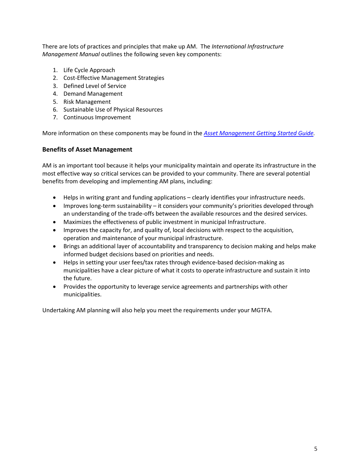There are lots of practices and principles that make up AM. The *International Infrastructure Management Manual* outlines the following seven key components:

- 1. Life Cycle Approach
- 2. Cost-Effective Management Strategies
- 3. Defined Level of Service
- 4. Demand Management
- 5. Risk Management
- 6. Sustainable Use of Physical Resources
- 7. Continuous Improvement

More information on these components may be found in the *[Asset Management Getting Started Guide.](http://publications.gov.sk.ca/documents/313/92459-Asset%20Management%20Guide.pdf)*

#### **Benefits of Asset Management**

AM is an important tool because it helps your municipality maintain and operate its infrastructure in the most effective way so critical services can be provided to your community. There are several potential benefits from developing and implementing AM plans, including:

- Helps in writing grant and funding applications clearly identifies your infrastructure needs.
- Improves long-term sustainability it considers your community's priorities developed through an understanding of the trade-offs between the available resources and the desired services.
- Maximizes the effectiveness of public investment in municipal Infrastructure.
- Improves the capacity for, and quality of, local decisions with respect to the acquisition, operation and maintenance of your municipal infrastructure.
- Brings an additional layer of accountability and transparency to decision making and helps make informed budget decisions based on priorities and needs.
- Helps in setting your user fees/tax rates through evidence-based decision-making as municipalities have a clear picture of what it costs to operate infrastructure and sustain it into the future.
- Provides the opportunity to leverage service agreements and partnerships with other municipalities.

Undertaking AM planning will also help you meet the requirements under your MGTFA.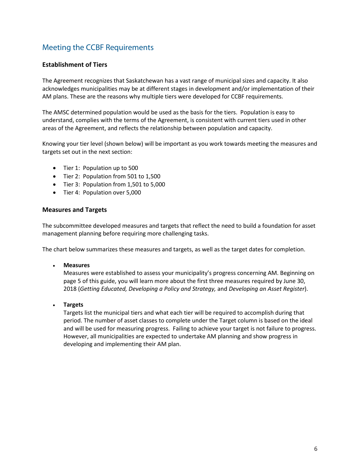# Meeting the CCBF Requirements

#### **Establishment of Tiers**

The Agreement recognizes that Saskatchewan has a vast range of municipal sizes and capacity. It also acknowledges municipalities may be at different stages in development and/or implementation of their AM plans. These are the reasons why multiple tiers were developed for CCBF requirements.

The AMSC determined population would be used as the basis for the tiers. Population is easy to understand, complies with the terms of the Agreement, is consistent with current tiers used in other areas of the Agreement, and reflects the relationship between population and capacity.

Knowing your tier level (shown below) will be important as you work towards meeting the measures and targets set out in the next section:

- Tier 1: Population up to 500
- Tier 2: Population from 501 to 1,500
- Tier 3: Population from 1,501 to 5,000
- Tier 4: Population over 5,000

#### **Measures and Targets**

The subcommittee developed measures and targets that reflect the need to build a foundation for asset management planning before requiring more challenging tasks.

The chart below summarizes these measures and targets, as well as the target dates for completion.

• **Measures**

Measures were established to assess your municipality's progress concerning AM. Beginning on page 5 of this guide, you will learn more about the first three measures required by June 30, 2018 (*Getting Educated, Developing a Policy and Strategy,* and *Developing an Asset Register*).

• **Targets**

Targets list the municipal tiers and what each tier will be required to accomplish during that period. The number of asset classes to complete under the Target column is based on the ideal and will be used for measuring progress. Failing to achieve your target is not failure to progress. However, all municipalities are expected to undertake AM planning and show progress in developing and implementing their AM plan.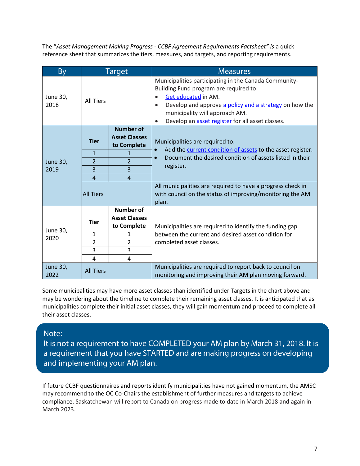The "*Asset Management Making Progress - CCBF Agreement Requirements Factsheet" is* a quick reference sheet that summarizes the tiers, measures, and targets, and reporting requirements.

| <b>By</b>               |                     | <b>Target</b>                                           | <b>Measures</b>                                                                                                                                                                                                                                                                     |  |
|-------------------------|---------------------|---------------------------------------------------------|-------------------------------------------------------------------------------------------------------------------------------------------------------------------------------------------------------------------------------------------------------------------------------------|--|
| June 30,<br>2018        | <b>All Tiers</b>    |                                                         | Municipalities participating in the Canada Community-<br>Building Fund program are required to:<br>Get educated in AM.<br>Develop and approve a policy and a strategy on how the<br>municipality will approach AM.<br>Develop an asset register for all asset classes.<br>$\bullet$ |  |
| <b>June 30,</b><br>2019 | <b>Tier</b>         | <b>Number of</b><br><b>Asset Classes</b><br>to Complete | Municipalities are required to:<br>Add the current condition of assets to the asset register.<br>Document the desired condition of assets listed in their<br>register.                                                                                                              |  |
|                         | $\mathbf{1}$        | $\overline{2}$                                          |                                                                                                                                                                                                                                                                                     |  |
|                         | $\overline{2}$<br>3 | 3                                                       |                                                                                                                                                                                                                                                                                     |  |
|                         | 4                   | $\overline{4}$                                          |                                                                                                                                                                                                                                                                                     |  |
|                         | <b>All Tiers</b>    |                                                         | All municipalities are required to have a progress check in<br>with council on the status of improving/monitoring the AM<br>plan.                                                                                                                                                   |  |
| June 30,<br>2020        | <b>Tier</b>         | <b>Number of</b><br><b>Asset Classes</b><br>to Complete | Municipalities are required to identify the funding gap<br>between the current and desired asset condition for<br>completed asset classes.                                                                                                                                          |  |
|                         | 1                   | 1                                                       |                                                                                                                                                                                                                                                                                     |  |
|                         | $\overline{2}$      | $\overline{2}$                                          |                                                                                                                                                                                                                                                                                     |  |
|                         | 3                   | 3                                                       |                                                                                                                                                                                                                                                                                     |  |
|                         | 4                   | 4                                                       |                                                                                                                                                                                                                                                                                     |  |
| <b>June 30,</b><br>2022 | <b>All Tiers</b>    |                                                         | Municipalities are required to report back to council on<br>monitoring and improving their AM plan moving forward.                                                                                                                                                                  |  |

Some municipalities may have more asset classes than identified under Targets in the chart above and may be wondering about the timeline to complete their remaining asset classes. It is anticipated that as municipalities complete their initial asset classes, they will gain momentum and proceed to complete all their asset classes.

#### Note:

It is not a requirement to have COMPLETED your AM plan by March 31, 2018. It is a requirement that you have STARTED and are making progress on developing and implementing your AM plan.

If future CCBF questionnaires and reports identify municipalities have not gained momentum, the AMSC may recommend to the OC Co-Chairs the establishment of further measures and targets to achieve compliance. Saskatchewan will report to Canada on progress made to date in March 2018 and again in March 2023.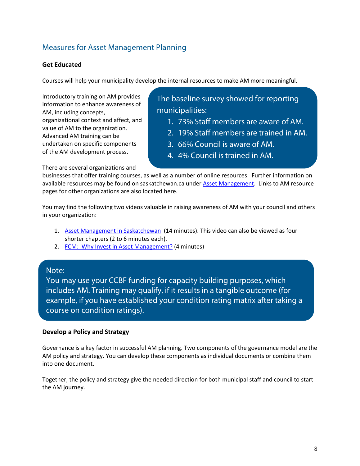# Measures for Asset Management Planning

#### **Get Educated**

Courses will help your municipality develop the internal resources to make AM more meaningful.

Introductory training on AM provides information to enhance awareness of AM, including concepts, organizational context and affect, and value of AM to the organization. Advanced AM training can be undertaken on specific components of the AM development process.

The baseline survey showed for reporting municipalities:

- 1. 73% Staff members are aware of AM.
- 2. 19% Staff members are trained in AM.
- 3. 66% Council is aware of AM.
- 4. 4% Council is trained in AM.

There are several organizations and

businesses that offer training courses, as well as a number of online resources. Further information on available resources may be found on saskatchewan.ca under [Asset Management.](http://www.saskatchewan.ca/government/municipal-administration/tools-guides-and-resources/municipal-information-dataportal#asset-management) Links to AM resource pages for other organizations are also located here.

You may find the following two videos valuable in raising awareness of AM with your council and others in your organization:

- 1. [Asset Management in Saskatchewan](https://www.youtube.com/watch?v=agP0LCPL4nw) (14 minutes). This video can also be viewed as four shorter chapters (2 to 6 minutes each).
- 2. [FCM: Why Invest in Asset Management?](https://rightsofway.wistia.com/medias/0kqmliq501) (4 minutes)

#### Note:

You may use your CCBF funding for capacity building purposes, which includes AM. Training may qualify, if it results in a tangible outcome (for example, if you have established your condition rating matrix after taking a course on condition ratings).

#### **Develop a Policy and Strategy**

Governance is a key factor in successful AM planning. Two components of the governance model are the AM policy and strategy. You can develop these components as individual documents or combine them into one document.

Together, the policy and strategy give the needed direction for both municipal staff and council to start the AM journey.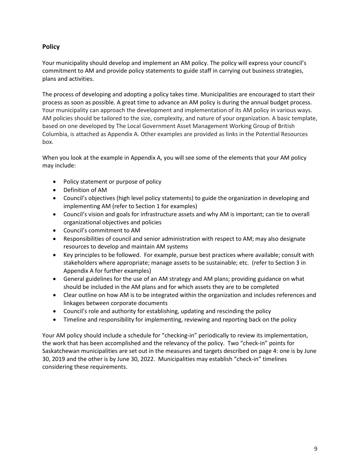#### **Policy**

Your municipality should develop and implement an AM policy. The policy will express your council's commitment to AM and provide policy statements to guide staff in carrying out business strategies, plans and activities.

The process of developing and adopting a policy takes time. Municipalities are encouraged to start their process as soon as possible. A great time to advance an AM policy is during the annual budget process. Your municipality can approach the development and implementation of its AM policy in various ways. AM policies should be tailored to the size, complexity, and nature of your organization. A basic template, based on one developed by The Local Government Asset Management Working Group of British Columbia, is attached as Appendix A. Other examples are provided as links in the Potential Resources box.

When you look at the example in Appendix A, you will see some of the elements that your AM policy may include:

- Policy statement or purpose of policy
- Definition of AM
- Council's objectives (high level policy statements) to guide the organization in developing and implementing AM (refer to Section 1 for examples)
- Council's vision and goals for infrastructure assets and why AM is important; can tie to overall organizational objectives and policies
- Council's commitment to AM
- Responsibilities of council and senior administration with respect to AM; may also designate resources to develop and maintain AM systems
- Key principles to be followed. For example, pursue best practices where available; consult with stakeholders where appropriate; manage assets to be sustainable; etc. (refer to Section 3 in Appendix A for further examples)
- General guidelines for the use of an AM strategy and AM plans; providing guidance on what should be included in the AM plans and for which assets they are to be completed
- Clear outline on how AM is to be integrated within the organization and includes references and linkages between corporate documents
- Council's role and authority for establishing, updating and rescinding the policy
- Timeline and responsibility for implementing, reviewing and reporting back on the policy

Your AM policy should include a schedule for "checking-in" periodically to review its implementation, the work that has been accomplished and the relevancy of the policy. Two "check-in" points for Saskatchewan municipalities are set out in the measures and targets described on page 4: one is by June 30, 2019 and the other is by June 30, 2022. Municipalities may establish "check-in" timelines considering these requirements.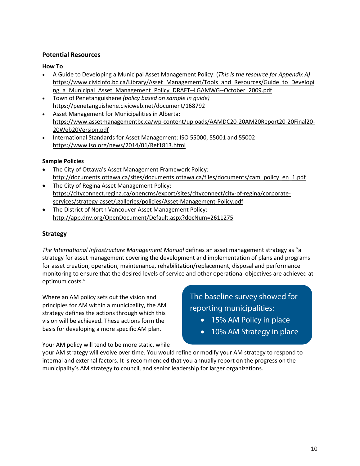#### **Potential Resources**

#### **How To**

- A Guide to Developing a Municipal Asset Management Policy: (*This is the resource for Appendix A)* [https://www.civicinfo.bc.ca/Library/Asset\\_Management/Tools\\_and\\_Resources/Guide\\_to\\_Developi](https://www.civicinfo.bc.ca/Library/Asset_Management/Tools_and_Resources/Guide_to_Developing_a_Municipal_Asset_Management_Policy_DRAFT--LGAMWG--October_2009.pdf) ng a Municipal Asset Management Policy DRAFT--LGAMWG--October 2009.pdf
- Town of Penetanguishene *(policy based on sample in guide)* <https://penetanguishene.civicweb.net/document/168792>
- Asset Management for Municipalities in Alberta: [https://www.assetmanagementbc.ca/wp-content/uploads/AAMDC20-20AM20Report20-20Final20-](https://www.assetmanagementbc.ca/wp-content/uploads/AAMDC20-20AM20Report20-20Final20-20Web20Version.pdf) [20Web20Version.pdf](https://www.assetmanagementbc.ca/wp-content/uploads/AAMDC20-20AM20Report20-20Final20-20Web20Version.pdf)
- International Standards for Asset Management: ISO 55000, 55001 and 55002 <https://www.iso.org/news/2014/01/Ref1813.html>

#### **Sample Policies**

- The City of Ottawa's Asset Management Framework Policy: [http://documents.ottawa.ca/sites/documents.ottawa.ca/files/documents/cam\\_policy\\_en\\_1.pdf](http://documents.ottawa.ca/sites/documents.ottawa.ca/files/documents/cam_policy_en_1.pdf)
- The City of Regina Asset Management Policy: [https://cityconnect.regina.ca/opencms/export/sites/cityconnect/city-of-regina/corporate](https://cityconnect.regina.ca/opencms/export/sites/cityconnect/city-of-regina/corporate-services/strategy-asset/.galleries/policies/Asset-Management-Policy.pdf)[services/strategy-asset/.galleries/policies/Asset-Management-Policy.pdf](https://cityconnect.regina.ca/opencms/export/sites/cityconnect/city-of-regina/corporate-services/strategy-asset/.galleries/policies/Asset-Management-Policy.pdf)
- The District of North Vancouver Asset Management Policy: <http://app.dnv.org/OpenDocument/Default.aspx?docNum=2611275>

#### **Strategy**

*The International Infrastructure Management Manual* defines an asset management strategy as "a strategy for asset management covering the development and implementation of plans and programs for asset creation, operation, maintenance, rehabilitation/replacement, disposal and performance monitoring to ensure that the desired levels of service and other operational objectives are achieved at optimum costs."

Where an AM policy sets out the vision and principles for AM within a municipality, the AM strategy defines the actions through which this vision will be achieved. These actions form the basis for developing a more specific AM plan.

The baseline survey showed for reporting municipalities:

- 15% AM Policy in place
- 10% AM Strategy in place

Your AM policy will tend to be more static, while

your AM strategy will evolve over time. You would refine or modify your AM strategy to respond to internal and external factors. It is recommended that you annually report on the progress on the municipality's AM strategy to council, and senior leadership for larger organizations.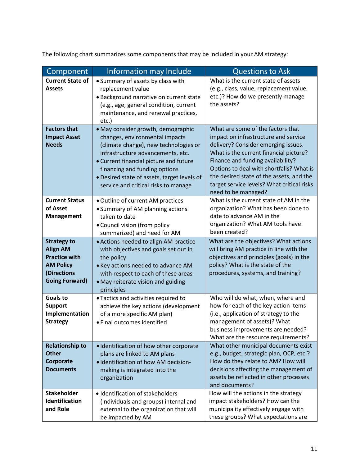The following chart summarizes some components that may be included in your AM strategy:

| Component                                                                                                                 | <b>Information may Include</b>                                                                                                                                                                                                                                                                                       | <b>Questions to Ask</b>                                                                                                                                                                                                                                                                                                                                      |
|---------------------------------------------------------------------------------------------------------------------------|----------------------------------------------------------------------------------------------------------------------------------------------------------------------------------------------------------------------------------------------------------------------------------------------------------------------|--------------------------------------------------------------------------------------------------------------------------------------------------------------------------------------------------------------------------------------------------------------------------------------------------------------------------------------------------------------|
| <b>Current State of</b><br><b>Assets</b>                                                                                  | • Summary of assets by class with<br>replacement value<br>· Background narrative on current state<br>(e.g., age, general condition, current<br>maintenance, and renewal practices,<br>etc.)                                                                                                                          | What is the current state of assets<br>(e.g., class, value, replacement value,<br>etc.)? How do we presently manage<br>the assets?                                                                                                                                                                                                                           |
| <b>Factors that</b><br><b>Impact Asset</b><br><b>Needs</b>                                                                | • May consider growth, demographic<br>changes, environmental impacts<br>(climate change), new technologies or<br>infrastructure advancements, etc.<br>• Current financial picture and future<br>financing and funding options<br>• Desired state of assets, target levels of<br>service and critical risks to manage | What are some of the factors that<br>impact on infrastructure and service<br>delivery? Consider emerging issues.<br>What is the current financial picture?<br>Finance and funding availability?<br>Options to deal with shortfalls? What is<br>the desired state of the assets, and the<br>target service levels? What critical risks<br>need to be managed? |
| <b>Current Status</b><br>of Asset<br><b>Management</b>                                                                    | . Outline of current AM practices<br>• Summary of AM planning actions<br>taken to date<br>• Council vision (from policy<br>summarized) and need for AM                                                                                                                                                               | What is the current state of AM in the<br>organization? What has been done to<br>date to advance AM in the<br>organization? What AM tools have<br>been created?                                                                                                                                                                                              |
| <b>Strategy to</b><br><b>Align AM</b><br><b>Practice with</b><br><b>AM Policy</b><br>(Directions<br><b>Going Forward)</b> | • Actions needed to align AM practice<br>with objectives and goals set out in<br>the policy<br>• Key actions needed to advance AM<br>with respect to each of these areas<br>• May reiterate vision and guiding<br>principles                                                                                         | What are the objectives? What actions<br>will bring AM practice in line with the<br>objectives and principles (goals) in the<br>policy? What is the state of the<br>procedures, systems, and training?                                                                                                                                                       |
| <b>Goals to</b><br><b>Support</b><br>Implementation<br><b>Strategy</b>                                                    | • Tactics and activities required to<br>achieve the key actions (development<br>of a more specific AM plan)<br>· Final outcomes identified                                                                                                                                                                           | Who will do what, when, where and<br>how for each of the key action items<br>(i.e., application of strategy to the<br>management of assets)? What<br>business improvements are needed?<br>What are the resource requirements?                                                                                                                                |
| <b>Relationship to</b><br><b>Other</b><br>Corporate<br><b>Documents</b>                                                   | · Identification of how other corporate<br>plans are linked to AM plans<br>· Identification of how AM decision-<br>making is integrated into the<br>organization                                                                                                                                                     | What other municipal documents exist<br>e.g., budget, strategic plan, OCP, etc.?<br>How do they relate to AM? How will<br>decisions affecting the management of<br>assets be reflected in other processes<br>and documents?                                                                                                                                  |
| <b>Stakeholder</b><br>Identification<br>and Role                                                                          | · Identification of stakeholders<br>(individuals and groups) internal and<br>external to the organization that will<br>be impacted by AM                                                                                                                                                                             | How will the actions in the strategy<br>impact stakeholders? How can the<br>municipality effectively engage with<br>these groups? What expectations are                                                                                                                                                                                                      |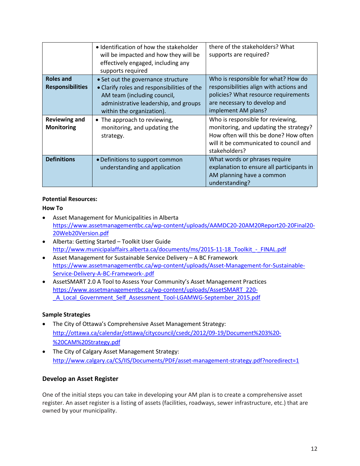|                                             | · Identification of how the stakeholder<br>will be impacted and how they will be<br>effectively engaged, including any<br>supports required                                            | there of the stakeholders? What<br>supports are required?                                                                                                                        |
|---------------------------------------------|----------------------------------------------------------------------------------------------------------------------------------------------------------------------------------------|----------------------------------------------------------------------------------------------------------------------------------------------------------------------------------|
| <b>Roles and</b><br><b>Responsibilities</b> | • Set out the governance structure<br>• Clarify roles and responsibilities of the<br>AM team (including council,<br>administrative leadership, and groups<br>within the organization). | Who is responsible for what? How do<br>responsibilities align with actions and<br>policies? What resource requirements<br>are necessary to develop and<br>implement AM plans?    |
| <b>Reviewing and</b><br><b>Monitoring</b>   | • The approach to reviewing,<br>monitoring, and updating the<br>strategy.                                                                                                              | Who is responsible for reviewing,<br>monitoring, and updating the strategy?<br>How often will this be done? How often<br>will it be communicated to council and<br>stakeholders? |
| <b>Definitions</b>                          | • Definitions to support common<br>understanding and application                                                                                                                       | What words or phrases require<br>explanation to ensure all participants in<br>AM planning have a common<br>understanding?                                                        |

#### **Potential Resources:**

#### **How To**

- Asset Management for Municipalities in Alberta [https://www.assetmanagementbc.ca/wp-content/uploads/AAMDC20-20AM20Report20-20Final20-](https://www.assetmanagementbc.ca/wp-content/uploads/AAMDC20-20AM20Report20-20Final20-20Web20Version.pdf) [20Web20Version.pdf](https://www.assetmanagementbc.ca/wp-content/uploads/AAMDC20-20AM20Report20-20Final20-20Web20Version.pdf)
- Alberta: Getting Started Toolkit User Guide [http://www.municipalaffairs.alberta.ca/documents/ms/2015-11-18\\_Toolkit\\_-\\_FINAL.pdf](http://www.municipalaffairs.alberta.ca/documents/ms/2015-11-18_Toolkit_-_FINAL.pdf)
- Asset Management for Sustainable Service Delivery A BC Framework [https://www.assetmanagementbc.ca/wp-content/uploads/Asset-Management-for-Sustainable-](https://www.assetmanagementbc.ca/wp-content/uploads/Asset-Management-for-Sustainable-Service-Delivery-A-BC-Framework-.pdf)[Service-Delivery-A-BC-Framework-.pdf](https://www.assetmanagementbc.ca/wp-content/uploads/Asset-Management-for-Sustainable-Service-Delivery-A-BC-Framework-.pdf)
- AssetSMART 2.0 A Tool to Assess Your Community's Asset Management Practices [https://www.assetmanagementbc.ca/wp-content/uploads/AssetSMART\\_220-](https://www.assetmanagementbc.ca/wp-content/uploads/AssetSMART_220-_A_Local_Government_Self_Assessment_Tool-LGAMWG-September_2015.pdf) [\\_A\\_Local\\_Government\\_Self\\_Assessment\\_Tool-LGAMWG-September\\_2015.pdf](https://www.assetmanagementbc.ca/wp-content/uploads/AssetSMART_220-_A_Local_Government_Self_Assessment_Tool-LGAMWG-September_2015.pdf)

#### **Sample Strategies**

- The City of Ottawa's Comprehensive Asset Management Strategy: [http://ottawa.ca/calendar/ottawa/citycouncil/csedc/2012/09-19/Document%203%20-](http://ottawa.ca/calendar/ottawa/citycouncil/csedc/2012/09-19/Document%203%20-%20CAM%20Strategy.pdf) [%20CAM%20Strategy.pdf](http://ottawa.ca/calendar/ottawa/citycouncil/csedc/2012/09-19/Document%203%20-%20CAM%20Strategy.pdf)
- The City of Calgary Asset Management Strategy: <http://www.calgary.ca/CS/IIS/Documents/PDF/asset-management-strategy.pdf?noredirect=1>

#### **Develop an Asset Register**

One of the initial steps you can take in developing your AM plan is to create a comprehensive asset register. An asset register is a listing of assets (facilities, roadways, sewer infrastructure, etc.) that are owned by your municipality.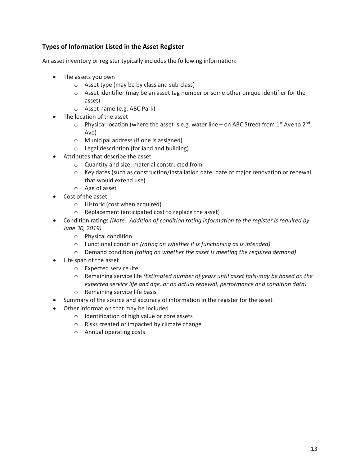#### **Types of Information Listed in the Asset Register**

An asset inventory or register typically includes the following information:

- The assets you own
	- o Asset type (may be by class and sub-class)
	- $\circ$  Asset identifier (may be an asset tag number or some other unique identifier for the asset)
	- o Asset name (e.g. ABC Park)
- The location of the asset
	- $\circ$  Physical location (where the asset is e.g. water line on ABC Street from 1st Ave to 2nd Ave)
	- o Municipal address (if one is assigned)
	- o Legal description (for land and building)
- Attributes that describe the asset
	- o Quantity and size, material constructed from
	- $\circ$  Key dates (such as construction/installation date; date of major renovation or renewal that would extend use)
	- o Age of asset
- Cost of the asset
	- o Historic (cost when acquired)
	- o Replacement (anticipated cost to replace the asset)
- Condition ratings *(Note: Addition of condition rating information to the register is required by June 30, 2019)*
	- o Physical condition
	- o Functional condition *(rating on whether it is functioning as is intended)*
	- o Demand condition *(rating on whether the asset is meeting the required demand)*
- Life span of the asset
	- o Expected service life
	- o Remaining service life *(Estimated number of years until asset fails-may be based on the expected service life and age, or on actual renewal, performance and condition data)*
	- o Remaining service life basis
- Summary of the source and accuracy of information in the register for the asset
- Other information that may be included
	- o Identification of high value or core assets
	- o Risks created or impacted by climate change
	- o Annual operating costs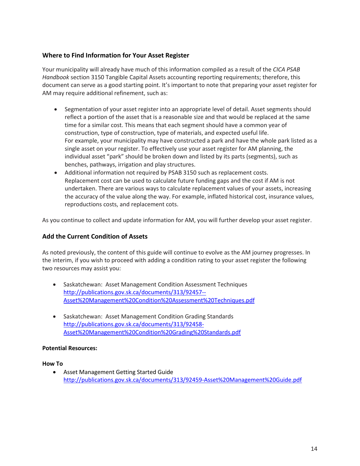#### **Where to Find Information for Your Asset Register**

Your municipality will already have much of this information compiled as a result of the *CICA PSAB Handbook* section 3150 Tangible Capital Assets accounting reporting requirements; therefore, this document can serve as a good starting point. It's important to note that preparing your asset register for AM may require additional refinement, such as:

- Segmentation of your asset register into an appropriate level of detail. Asset segments should reflect a portion of the asset that is a reasonable size and that would be replaced at the same time for a similar cost. This means that each segment should have a common year of construction, type of construction, type of materials, and expected useful life. For example, your municipality may have constructed a park and have the whole park listed as a single asset on your register. To effectively use your asset register for AM planning, the individual asset "park" should be broken down and listed by its parts (segments), such as benches, pathways, irrigation and play structures.
- Additional information not required by PSAB 3150 such as replacement costs. Replacement cost can be used to calculate future funding gaps and the cost if AM is not undertaken. There are various ways to calculate replacement values of your assets, increasing the accuracy of the value along the way. For example, inflated historical cost, insurance values, reproductions costs, and replacement cots.

As you continue to collect and update information for AM, you will further develop your asset register.

#### **Add the Current Condition of Assets**

As noted previously, the content of this guide will continue to evolve as the AM journey progresses. In the interim, if you wish to proceed with adding a condition rating to your asset register the following two resources may assist you:

- Saskatchewan: Asset Management Condition Assessment Techniques [http://publications.gov.sk.ca/documents/313/92457--](http://publications.gov.sk.ca/documents/313/92457-Asset%20Management%20Condition%20Assessment%20Techniques.pdf) [Asset%20Management%20Condition%20Assessment%20Techniques.pdf](http://publications.gov.sk.ca/documents/313/92457-Asset%20Management%20Condition%20Assessment%20Techniques.pdf)
- Saskatchewan: Asset Management Condition Grading Standards [http://publications.gov.sk.ca/documents/313/92458-](http://publications.gov.sk.ca/documents/313/92458-Asset%20Management%20Condition%20Grading%20Standards.pdf) [Asset%20Management%20Condition%20Grading%20Standards.pdf](http://publications.gov.sk.ca/documents/313/92458-Asset%20Management%20Condition%20Grading%20Standards.pdf)

#### **Potential Resources:**

#### **How To**

• Asset Management Getting Started Guide <http://publications.gov.sk.ca/documents/313/92459-Asset%20Management%20Guide.pdf>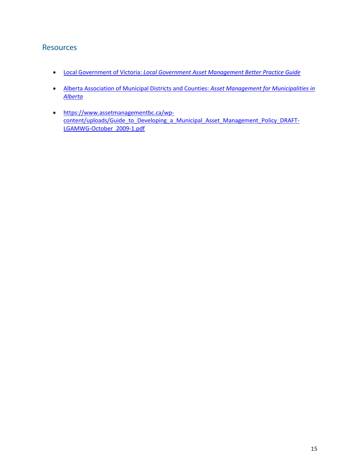## **Resources**

- Local Government of Victoria: *[Local Government Asset Management Better Practice Guide](http://www.lgam.info/local-government-asset-management-better-practice-guide)*
- Alberta Association of Municipal Districts and Counties: *[Asset Management for Municipalities in](https://www.assetmanagementbc.ca/wp-content/uploads/AAMDC20-20AM20Report20-20Final20-20Web20Version.pdf)  [Alberta](https://www.assetmanagementbc.ca/wp-content/uploads/AAMDC20-20AM20Report20-20Final20-20Web20Version.pdf)*
- [https://www.assetmanagementbc.ca/wp](https://www.assetmanagementbc.ca/wp-content/uploads/Guide_to_Developing_a_Municipal_Asset_Management_Policy_DRAFT-LGAMWG-October_2009-1.pdf)[content/uploads/Guide\\_to\\_Developing\\_a\\_Municipal\\_Asset\\_Management\\_Policy\\_DRAFT-](https://www.assetmanagementbc.ca/wp-content/uploads/Guide_to_Developing_a_Municipal_Asset_Management_Policy_DRAFT-LGAMWG-October_2009-1.pdf)[LGAMWG-October\\_2009-1.pdf](https://www.assetmanagementbc.ca/wp-content/uploads/Guide_to_Developing_a_Municipal_Asset_Management_Policy_DRAFT-LGAMWG-October_2009-1.pdf)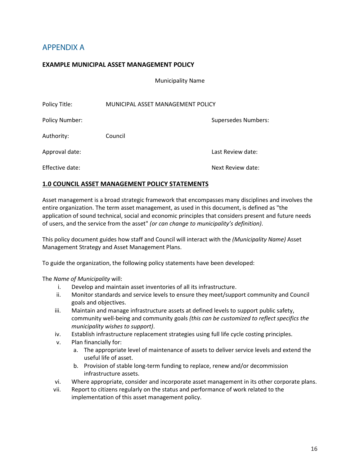# APPENDIX A

#### **EXAMPLE MUNICIPAL ASSET MANAGEMENT POLICY**

Municipality Name

| Policy Title:   | MUNICIPAL ASSET MANAGEMENT POLICY |                            |
|-----------------|-----------------------------------|----------------------------|
| Policy Number:  |                                   | <b>Supersedes Numbers:</b> |
| Authority:      | Council                           |                            |
| Approval date:  |                                   | Last Review date:          |
| Effective date: |                                   | Next Review date:          |

#### **1.0 COUNCIL ASSET MANAGEMENT POLICY STATEMENTS**

Asset management is a broad strategic framework that encompasses many disciplines and involves the entire organization. The term asset management, as used in this document, is defined as "the application of sound technical, social and economic principles that considers present and future needs of users, and the service from the asset" *(or can change to municipality's definition)*.

This policy document guides how staff and Council will interact with the *(Municipality Name)* Asset Management Strategy and Asset Management Plans.

To guide the organization, the following policy statements have been developed:

The *Name of Municipality* will:

- i. Develop and maintain asset inventories of all its infrastructure.
- ii. Monitor standards and service levels to ensure they meet/support community and Council goals and objectives.
- iii. Maintain and manage infrastructure assets at defined levels to support public safety, community well-being and community goals *(this can be customized to reflect specifics the municipality wishes to support)*.
- iv. Establish infrastructure replacement strategies using full life cycle costing principles.
- v. Plan financially for:
	- a. The appropriate level of maintenance of assets to deliver service levels and extend the useful life of asset.
	- b. Provision of stable long-term funding to replace, renew and/or decommission infrastructure assets.
- vi. Where appropriate, consider and incorporate asset management in its other corporate plans.
- vii. Report to citizens regularly on the status and performance of work related to the implementation of this asset management policy.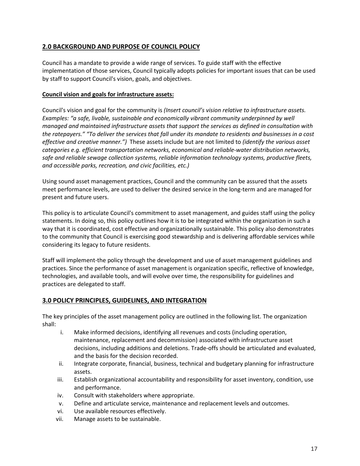#### **2.0 BACKGROUND AND PURPOSE OF COUNCIL POLICY**

Council has a mandate to provide a wide range of services. To guide staff with the effective implementation of those services, Council typically adopts policies for important issues that can be used by staff to support Council's vision, goals, and objectives.

#### **Council vision and goals for infrastructure assets:**

Council's vision and goal for the community is *(Insert council's vision relative to infrastructure assets. Examples: "a safe, livable, sustainable and economically vibrant community underpinned by well managed and maintained infrastructure assets that support the services as defined in consultation with the ratepayers." "To deliver the services that fall under its mandate to residents and businesses in a cost effective and creative manner.")* These assets include but are not limited to *(identify the various asset categories e.g. efficient transportation networks, economical and reliable-water distribution networks, safe and reliable sewage collection systems, reliable information technology systems, productive fleets, and accessible parks, recreation, and civic facilities, etc.)*

Using sound asset management practices, Council and the community can be assured that the assets meet performance levels, are used to deliver the desired service in the long-term and are managed for present and future users.

This policy is to articulate Council's commitment to asset management, and guides staff using the policy statements. In doing so, this policy outlines how it is to be integrated within the organization in such a way that it is coordinated, cost effective and organizationally sustainable. This policy also demonstrates to the community that Council is exercising good stewardship and is delivering affordable services while considering its legacy to future residents.

Staff will implement-the policy through the development and use of asset management guidelines and practices. Since the performance of asset management is organization specific, reflective of knowledge, technologies, and available tools, and will evolve over time, the responsibility for guidelines and practices are delegated to staff.

#### **3.0 POLICY PRINCIPLES, GUIDELINES, AND INTEGRATION**

The key principles of the asset management policy are outlined in the following list. The organization shall:

- i. Make informed decisions, identifying all revenues and costs (including operation, maintenance, replacement and decommission) associated with infrastructure asset decisions, including additions and deletions. Trade-offs should be articulated and evaluated, and the basis for the decision recorded.
- ii. Integrate corporate, financial, business, technical and budgetary planning for infrastructure assets.
- iii. Establish organizational accountability and responsibility for asset inventory, condition, use and performance.
- iv. Consult with stakeholders where appropriate.
- v. Define and articulate service, maintenance and replacement levels and outcomes.
- vi. Use available resources effectively.
- vii. Manage assets to be sustainable.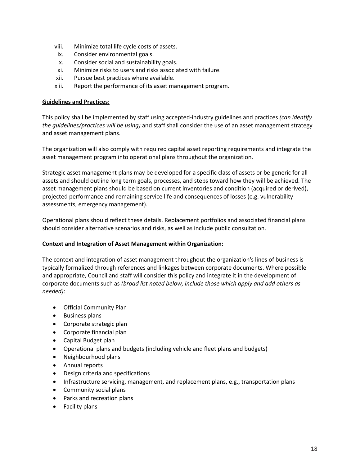- viii. Minimize total life cycle costs of assets.
- ix. Consider environmental goals.
- x. Consider social and sustainability goals.
- xi. Minimize risks to users and risks associated with failure.
- xii. Pursue best practices where available.
- xiii. Report the performance of its asset management program.

#### **Guidelines and Practices:**

This policy shall be implemented by staff using accepted-industry guidelines and practices *(can identify the guidelines/practices will be using)* and staff shall consider the use of an asset management strategy and asset management plans.

The organization will also comply with required capital asset reporting requirements and integrate the asset management program into operational plans throughout the organization.

Strategic asset management plans may be developed for a specific class of assets or be generic for all assets and should outline long term goals, processes, and steps toward how they will be achieved. The asset management plans should be based on current inventories and condition (acquired or derived), projected performance and remaining service life and consequences of losses (e.g. vulnerability assessments, emergency management).

Operational plans should reflect these details. Replacement portfolios and associated financial plans should consider alternative scenarios and risks, as well as include public consultation.

#### **Context and Integration of Asset Management within Organization:**

The context and integration of asset management throughout the organization's lines of business is typically formalized through references and linkages between corporate documents. Where possible and appropriate, Council and staff will consider this policy and integrate it in the development of corporate documents such as *(broad list noted below, include those which apply and add others as needed)*:

- Official Community Plan
- Business plans
- Corporate strategic plan
- Corporate financial plan
- Capital Budget plan
- Operational plans and budgets (including vehicle and fleet plans and budgets)
- Neighbourhood plans
- Annual reports
- Design criteria and specifications
- Infrastructure servicing, management, and replacement plans, e.g., transportation plans
- Community social plans
- Parks and recreation plans
- Facility plans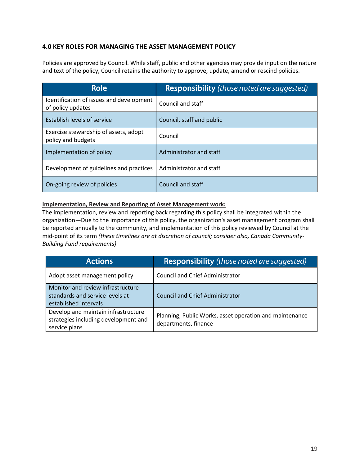#### **4.0 KEY ROLES FOR MANAGING THE ASSET MANAGEMENT POLICY**

Policies are approved by Council. While staff, public and other agencies may provide input on the nature and text of the policy, Council retains the authority to approve, update, amend or rescind policies.

| Role                                                          | <b>Responsibility</b> (those noted are suggested) |
|---------------------------------------------------------------|---------------------------------------------------|
| Identification of issues and development<br>of policy updates | Council and staff                                 |
| Establish levels of service                                   | Council, staff and public                         |
| Exercise stewardship of assets, adopt<br>policy and budgets   | Council                                           |
| Implementation of policy                                      | Administrator and staff                           |
| Development of guidelines and practices                       | Administrator and staff                           |
| On-going review of policies                                   | Council and staff                                 |

#### **Implementation, Review and Reporting of Asset Management work:**

The implementation, review and reporting back regarding this policy shall be integrated within the organization—Due to the importance of this policy, the organization's asset management program shall be reported annually to the community, and implementation of this policy reviewed by Council at the mid-point of its term *(these timelines are at discretion of council; consider also, Canada Community-Building Fund requirements)*

| <b>Actions</b>                                                                                | Responsibility (those noted are suggested)                                      |
|-----------------------------------------------------------------------------------------------|---------------------------------------------------------------------------------|
| Adopt asset management policy                                                                 | <b>Council and Chief Administrator</b>                                          |
| Monitor and review infrastructure<br>standards and service levels at<br>established intervals | <b>Council and Chief Administrator</b>                                          |
| Develop and maintain infrastructure<br>strategies including development and<br>service plans  | Planning, Public Works, asset operation and maintenance<br>departments, finance |